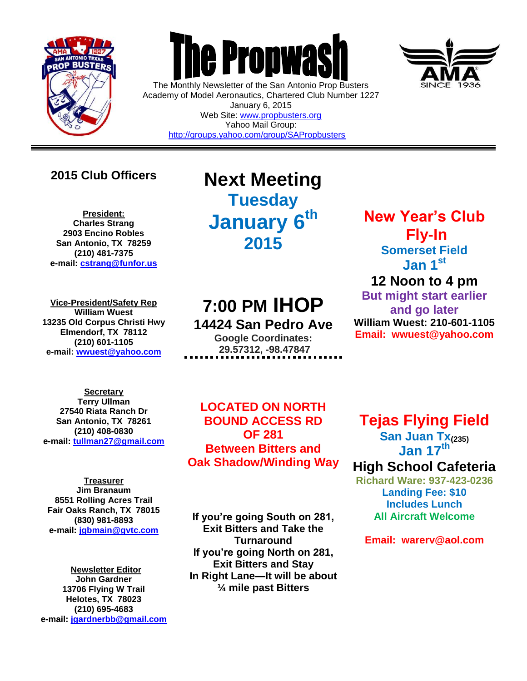

 $\overline{a}$ 



The Monthly Newsletter of the San Antonio Prop Busters Academy of Model Aeronautics, Chartered Club Number 1227 January 6, 2015 Web Site: [www.propbusters.org](http://www.propbusters.org/) Yahoo Mail Group:

<http://groups.yahoo.com/group/SAPropbusters>



### **2015 Club Officers**

**President: Charles Strang 2903 Encino Robles San Antonio, TX 78259 (210) 481-7375 e-mail: [cstrang@funfor.us](mailto:cstrang@funfor.us)**

**Vice-President/Safety Rep William Wuest 13235 Old Corpus Christi Hwy Elmendorf, TX 78112 (210) 601-1105 e-mail: [wwuest@yahoo.com](mailto:crashsiegel@yahoo.com)**

## **Next Meeting Tuesday January 6 th 2015**

# **7:00 PM IHOP**

**14424 San Pedro Ave Google Coordinates: 29.57312, -98.47847**

**Secretary Terry Ullman 27540 Riata Ranch Dr San Antonio, TX 78261 (210) 408-0830 e-mail: [tullman27@gmail.com](mailto:tullman27@gmail.com)**

**Treasurer Jim Branaum 8551 Rolling Acres Trail Fair Oaks Ranch, TX 78015 (830) 981-8893 e-mail: [jgbmain@gvtc.com](mailto:jgbmain@gvtc.com)**

**Newsletter Editor John Gardner 13706 Flying W Trail Helotes, TX 78023 (210) 695-4683 e-mail: [jgardnerbb@gmail.com](mailto:jgardnerbb@gmail.com)**

**LOCATED ON NORTH BOUND ACCESS RD OF 281 Between Bitters and Oak Shadow/Winding Way**

**If you're going South on 281, Exit Bitters and Take the Turnaround If you're going North on 281, Exit Bitters and Stay In Right Lane—It will be about ¼ mile past Bitters**

## **New Year's Club Fly-In Somerset Field Jan 1st 12 Noon to 4 pm**

**But might start earlier and go later William Wuest: 210-601-1105 Email: wwuest@yahoo.com**

**Tejas Flying Field San Juan Tx(235) Jan 17th**

## **High School Cafeteria**

**Richard Ware: 937-423-0236 Landing Fee: \$10 Includes Lunch All Aircraft Welcome**

**Email: warerv@aol.com**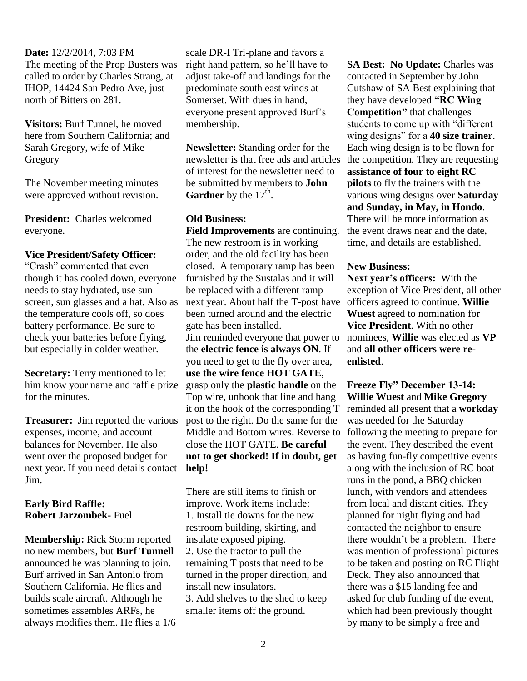**Date:** 12/2/2014, 7:03 PM The meeting of the Prop Busters was called to order by Charles Strang, at IHOP, 14424 San Pedro Ave, just north of Bitters on 281.

**Visitors:** Burf Tunnel, he moved here from Southern California; and Sarah Gregory, wife of Mike Gregory

The November meeting minutes were approved without revision.

**President:** Charles welcomed everyone.

#### **Vice President/Safety Officer:**

"Crash" commented that even though it has cooled down, everyone needs to stay hydrated, use sun screen, sun glasses and a hat. Also as the temperature cools off, so does battery performance. Be sure to check your batteries before flying, but especially in colder weather.

**Secretary:** Terry mentioned to let him know your name and raffle prize for the minutes.

**Treasurer:** Jim reported the various expenses, income, and account balances for November. He also went over the proposed budget for next year. If you need details contact Jim.

#### **Early Bird Raffle: Robert Jarzombek-** Fuel

**Membership:** Rick Storm reported no new members, but **Burf Tunnell** announced he was planning to join. Burf arrived in San Antonio from Southern California. He flies and builds scale aircraft. Although he sometimes assembles ARFs, he always modifies them. He flies a 1/6

scale DR-I Tri-plane and favors a right hand pattern, so he'll have to adjust take-off and landings for the predominate south east winds at Somerset. With dues in hand, everyone present approved Burf's membership.

**Newsletter:** Standing order for the newsletter is that free ads and articles of interest for the newsletter need to be submitted by members to **John Gardner** by the  $17<sup>th</sup>$ .

#### **Old Business:**

**Field Improvements** are continuing. The new restroom is in working order, and the old facility has been closed. A temporary ramp has been furnished by the Sustalas and it will be replaced with a different ramp next year. About half the T-post have been turned around and the electric gate has been installed. Jim reminded everyone that power to the **electric fence is always ON**. If you need to get to the fly over area, **use the wire fence HOT GATE**, grasp only the **plastic handle** on the Top wire, unhook that line and hang it on the hook of the corresponding T post to the right. Do the same for the Middle and Bottom wires. Reverse to close the HOT GATE. **Be careful not to get shocked! If in doubt, get help!**

There are still items to finish or improve. Work items include: 1. Install tie downs for the new restroom building, skirting, and insulate exposed piping. 2. Use the tractor to pull the remaining T posts that need to be turned in the proper direction, and install new insulators. 3. Add shelves to the shed to keep smaller items off the ground.

**SA Best: No Update: Charles was** contacted in September by John Cutshaw of SA Best explaining that they have developed **"RC Wing Competition"** that challenges students to come up with "different wing designs" for a **40 size trainer**. Each wing design is to be flown for the competition. They are requesting **assistance of four to eight RC pilots** to fly the trainers with the various wing designs over **Saturday and Sunday, in May, in Hondo**. There will be more information as the event draws near and the date, time, and details are established.

#### **New Business:**

**Next year's officers:** With the exception of Vice President, all other officers agreed to continue. **Willie Wuest** agreed to nomination for **Vice President**. With no other nominees, **Willie** was elected as **VP** and **all other officers were reenlisted**.

**Freeze Fly" December 13-14: Willie Wuest** and **Mike Gregory** reminded all present that a **workday** was needed for the Saturday following the meeting to prepare for the event. They described the event as having fun-fly competitive events along with the inclusion of RC boat runs in the pond, a BBQ chicken lunch, with vendors and attendees from local and distant cities. They planned for night flying and had contacted the neighbor to ensure there wouldn't be a problem. There was mention of professional pictures to be taken and posting on RC Flight Deck. They also announced that there was a \$15 landing fee and asked for club funding of the event, which had been previously thought by many to be simply a free and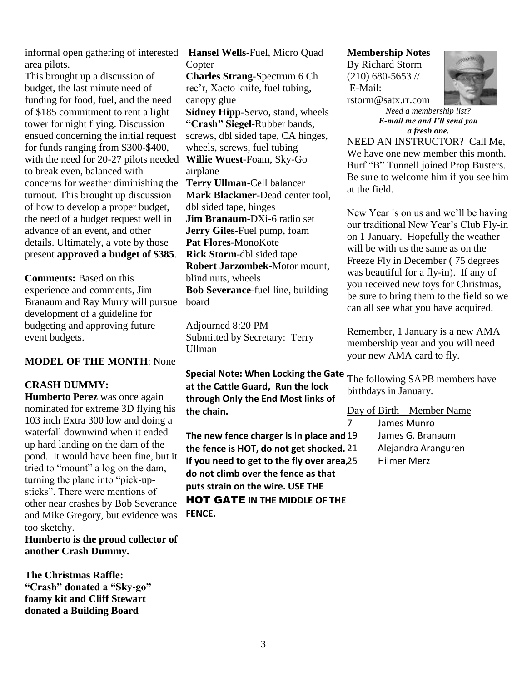informal open gathering of interested **Hansel Wells**-Fuel, Micro Quad area pilots.

This brought up a discussion of budget, the last minute need of funding for food, fuel, and the need of \$185 commitment to rent a light tower for night flying. Discussion ensued concerning the initial request for funds ranging from \$300-\$400, with the need for 20-27 pilots needed **Willie Wuest**-Foam, Sky-Go to break even, balanced with concerns for weather diminishing the turnout. This brought up discussion of how to develop a proper budget, the need of a budget request well in advance of an event, and other details. Ultimately, a vote by those present **approved a budget of \$385**.

**Comments:** Based on this experience and comments, Jim Branaum and Ray Murry will pursue development of a guideline for budgeting and approving future event budgets.

#### **MODEL OF THE MONTH**: None

#### **CRASH DUMMY:**

**Humberto Perez** was once again nominated for extreme 3D flying his 103 inch Extra 300 low and doing a waterfall downwind when it ended up hard landing on the dam of the pond. It would have been fine, but it tried to "mount" a log on the dam, turning the plane into "pick-upsticks". There were mentions of other near crashes by Bob Severance and Mike Gregory, but evidence was too sketchy.

**Humberto is the proud collector of another Crash Dummy.**

**The Christmas Raffle: "Crash" donated a "Sky-go" foamy kit and Cliff Stewart donated a Building Board**

**Copter** 

**Charles Strang**-Spectrum 6 Ch rec'r, Xacto knife, fuel tubing, canopy glue **Sidney Hipp**-Servo, stand, wheels **"Crash" Siegel**-Rubber bands, screws, dbl sided tape, CA hinges, wheels, screws, fuel tubing airplane **Terry Ullman**-Cell balancer **Mark Blackmer**-Dead center tool, dbl sided tape, hinges **Jim Branaum**-DXi-6 radio set **Jerry Giles**-Fuel pump, foam **Pat Flores**-MonoKote **Rick Storm**-dbl sided tape **Robert Jarzombek**-Motor mount, blind nuts, wheels

**Bob Severance**-fuel line, building board

Adjourned 8:20 PM Submitted by Secretary: Terry Ullman

**Special Note: When Locking the Gate**  The following SAPB members have **at the Cattle Guard, Run the lock through Only the End Most links of the chain.** 

**The new fence charger is in place and the fence is HOT, do not get shocked. If you need to get to the fly over area, 25 do not climb over the fence as that puts strain on the wire. USE THE**  HOT GATE **IN THE MIDDLE OF THE FENCE.** 

#### **Membership Notes**

By Richard Storm (210) 680-5653 // E-Mail: rstorm@satx.rr.com



*Need a membership list? E-mail me and I'll send you a fresh one.*

NEED AN INSTRUCTOR? Call Me, We have one new member this month. Burf "B" Tunnell joined Prop Busters. Be sure to welcome him if you see him at the field.

New Year is on us and we'll be having our traditional New Year's Club Fly-in on 1 January. Hopefully the weather will be with us the same as on the Freeze Fly in December ( 75 degrees was beautiful for a fly-in). If any of you received new toys for Christmas, be sure to bring them to the field so we can all see what you have acquired.

Remember, 1 January is a new AMA membership year and you will need your new AMA card to fly.

birthdays in January.

Day of Birth Member Name 7 James Munro James G. Branaum

> 21 Alejandra Aranguren 25 Hilmer Merz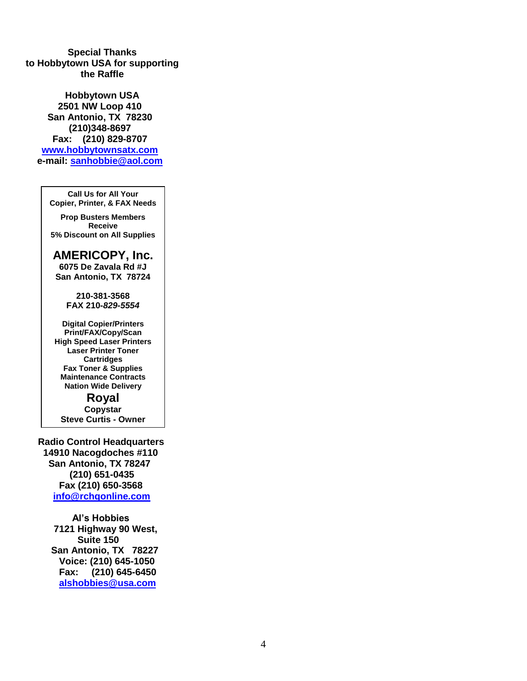**Special Thanks to Hobbytown USA for supporting the Raffle**

**Hobbytown USA 2501 NW Loop 410 San Antonio, TX 78230 (210)348-8697 Fax: (210) 829-8707 [www.hobbytownsatx.com](http://www.hobbytownsatx.com/) e-mail: [sanhobbie@aol.com](mailto:sanhobbie@aol.com)**

**Call Us for All Your Copier, Printer, & FAX Needs**

**Prop Busters Members Receive 5% Discount on All Supplies**

**AMERICOPY, Inc.**

**6075 De Zavala Rd #J San Antonio, TX 78724**

> **210-381-3568 FAX 210-***829-5554*

**Digital Copier/Printers Print/FAX/Copy/Scan High Speed Laser Printers Laser Printer Toner Cartridges Fax Toner & Supplies Maintenance Contracts Nation Wide Delivery**

**Royal Copystar Steve Curtis - Owner**

 **Radio Control Headquarters 14910 Nacogdoches #110 San Antonio, TX 78247 (210) 651-0435 Fax (210) 650-3568 [info@rchqonline.com](mailto:info@rchqonline.com)**

> **Al's Hobbies 7121 Highway 90 West, Suite 150 San Antonio, TX 78227 Voice: (210) 645-1050 Fax: (210) 645-6450 [alshobbies@usa.com](mailto:alshobbies@usa.com)**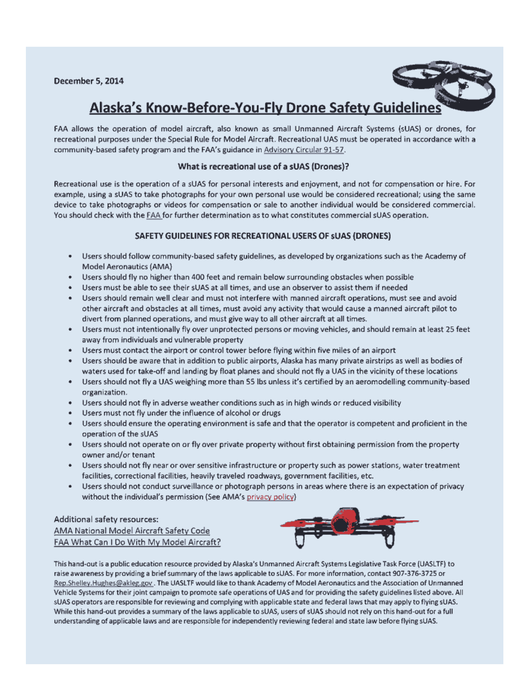December 5, 2014



## Alaska's Know-Before-You-Fly Drone Safety Guidelines

FAA allows the operation of model aircraft, also known as small Unmanned Aircraft Systems (sUAS) or drones, for recreational purposes under the Special Rule for Model Aircraft. Recreational UAS must be operated in accordance with a community-based safety program and the FAA's guidance in Advisory Circular 91-57.

#### What is recreational use of a sUAS (Drones)?

Recreational use is the operation of a sUAS for personal interests and enjoyment, and not for compensation or hire. For example, using a sUAS to take photographs for your own personal use would be considered recreational; using the same device to take photographs or videos for compensation or sale to another individual would be considered commercial. You should check with the FAA for further determination as to what constitutes commercial sUAS operation.

#### SAFETY GUIDELINES FOR RECREATIONAL USERS OF SUAS (DRONES)

- Users should follow community-based safety guidelines, as developed by organizations such as the Academy of Model Aeronautics (AMA)
- Users should fly no higher than 400 feet and remain below surrounding obstacles when possible
- Users must be able to see their sUAS at all times, and use an observer to assist them if needed
- Users should remain well clear and must not interfere with manned aircraft operations, must see and avoid other aircraft and obstacles at all times, must avoid any activity that would cause a manned aircraft pilot to divert from planned operations, and must give way to all other aircraft at all times.
- Users must not intentionally fly over unprotected persons or moving vehicles, and should remain at least 25 feet  $\bullet$ away from individuals and vulnerable property
- Users must contact the airport or control tower before flying within five miles of an airport
- Users should be aware that in addition to public airports, Alaska has many private airstrips as well as bodies of waters used for take-off and landing by float planes and should not fly a UAS in the vicinity of these locations
- $\bullet$ Users should not fly a UAS weighing more than 55 lbs unless it's certified by an aeromodelling community-based organization.
- Users should not fly in adverse weather conditions such as in high winds or reduced visibility
- Users must not fly under the influence of alcohol or drugs
- Users should ensure the operating environment is safe and that the operator is competent and proficient in the  $\bullet$ operation of the sUAS
- Users should not operate on or fly over private property without first obtaining permission from the property  $\bullet$ owner and/or tenant
- Users should not fly near or over sensitive infrastructure or property such as power stations, water treatment facilities, correctional facilities, heavily traveled roadways, government facilities, etc.
- $\bullet$ Users should not conduct surveillance or photograph persons in areas where there is an expectation of privacy without the individual's permission (See AMA's privacy policy)

#### Additional safety resources: AMA National Model Aircraft Safety Code FAA What Can I Do With My Model Aircraft?



This hand-out is a public education resource provided by Alaska's Unmanned Aircraft Systems Legislative Task Force (UASLTF) to raise awareness by providing a brief summary of the laws applicable to sUAS. For more information, contact 907-376-3725 or Rep.Shelley.Hughes@akleg.gov. The UASLTF would like to thank Academy of Model Aeronautics and the Association of Unmanned Vehicle Systems for their joint campaign to promote safe operations of UAS and for providing the safety guidelines listed above. All sUAS operators are responsible for reviewing and complying with applicable state and federal laws that may apply to flying sUAS. While this hand-out provides a summary of the laws applicable to sUAS, users of sUAS should not rely on this hand-out for a full understanding of applicable laws and are responsible for independently reviewing federal and state law before flying sUAS.